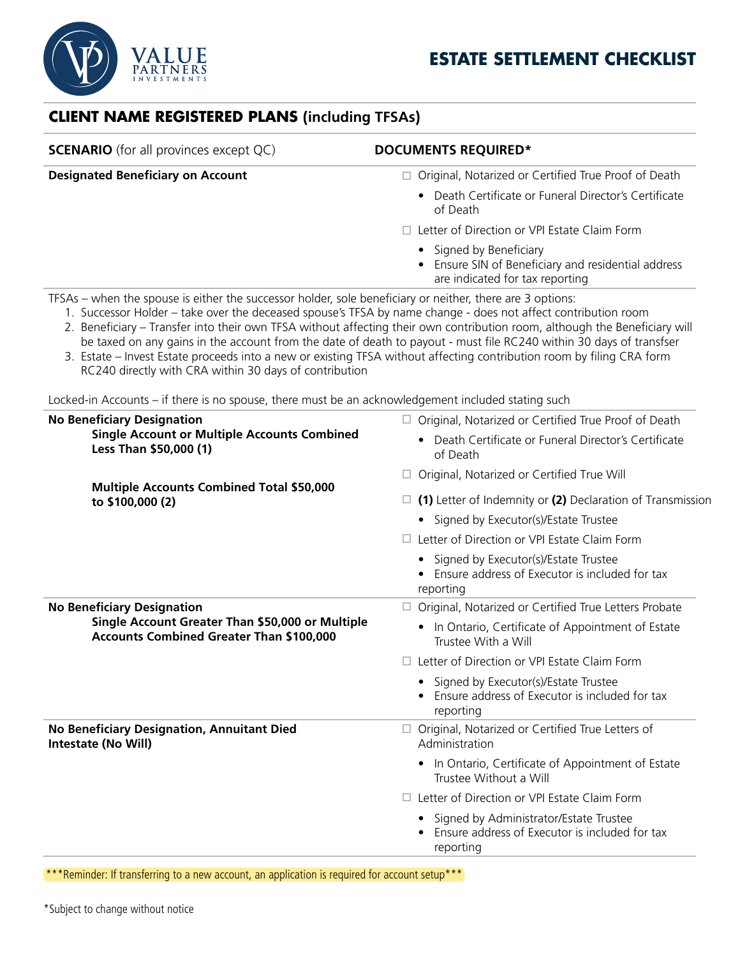



## **CLIENT NAME REGISTERED PLANS (including TFSAs)**

| <b>SCENARIO</b> (for all provinces except QC)                                                                                                                                                                                                                                        | <b>DOCUMENTS REQUIRED*</b>                                                                                                                                                                                                                                                                                                                                                 |
|--------------------------------------------------------------------------------------------------------------------------------------------------------------------------------------------------------------------------------------------------------------------------------------|----------------------------------------------------------------------------------------------------------------------------------------------------------------------------------------------------------------------------------------------------------------------------------------------------------------------------------------------------------------------------|
| <b>Designated Beneficiary on Account</b>                                                                                                                                                                                                                                             | Original, Notarized or Certified True Proof of Death<br>$\Box$                                                                                                                                                                                                                                                                                                             |
|                                                                                                                                                                                                                                                                                      | • Death Certificate or Funeral Director's Certificate<br>of Death                                                                                                                                                                                                                                                                                                          |
|                                                                                                                                                                                                                                                                                      | □ Letter of Direction or VPI Estate Claim Form                                                                                                                                                                                                                                                                                                                             |
|                                                                                                                                                                                                                                                                                      | Signed by Beneficiary<br>Ensure SIN of Beneficiary and residential address<br>are indicated for tax reporting                                                                                                                                                                                                                                                              |
| TFSAs - when the spouse is either the successor holder, sole beneficiary or neither, there are 3 options:<br>1. Successor Holder – take over the deceased spouse's TFSA by name change - does not affect contribution room<br>RC240 directly with CRA within 30 days of contribution | 2. Beneficiary - Transfer into their own TFSA without affecting their own contribution room, although the Beneficiary will<br>be taxed on any gains in the account from the date of death to payout - must file RC240 within 30 days of transfser<br>3. Estate – Invest Estate proceeds into a new or existing TFSA without affecting contribution room by filing CRA form |
| Locked-in Accounts - if there is no spouse, there must be an acknowledgement included stating such                                                                                                                                                                                   |                                                                                                                                                                                                                                                                                                                                                                            |
| <b>No Beneficiary Designation</b><br><b>Single Account or Multiple Accounts Combined</b><br>Less Than \$50,000 (1)<br><b>Multiple Accounts Combined Total \$50,000</b><br>to \$100,000 (2)                                                                                           | $\Box$ Original, Notarized or Certified True Proof of Death                                                                                                                                                                                                                                                                                                                |
|                                                                                                                                                                                                                                                                                      | Death Certificate or Funeral Director's Certificate<br>of Death                                                                                                                                                                                                                                                                                                            |
|                                                                                                                                                                                                                                                                                      | Original, Notarized or Certified True Will                                                                                                                                                                                                                                                                                                                                 |
|                                                                                                                                                                                                                                                                                      | $\Box$ (1) Letter of Indemnity or (2) Declaration of Transmission                                                                                                                                                                                                                                                                                                          |
|                                                                                                                                                                                                                                                                                      | • Signed by Executor(s)/Estate Trustee                                                                                                                                                                                                                                                                                                                                     |
|                                                                                                                                                                                                                                                                                      | Letter of Direction or VPI Estate Claim Form                                                                                                                                                                                                                                                                                                                               |
|                                                                                                                                                                                                                                                                                      | • Signed by Executor(s)/Estate Trustee<br>Ensure address of Executor is included for tax<br>reporting                                                                                                                                                                                                                                                                      |
| <b>No Beneficiary Designation</b><br>Single Account Greater Than \$50,000 or Multiple<br><b>Accounts Combined Greater Than \$100,000</b>                                                                                                                                             | Original, Notarized or Certified True Letters Probate<br>ш                                                                                                                                                                                                                                                                                                                 |
|                                                                                                                                                                                                                                                                                      | In Ontario, Certificate of Appointment of Estate<br>$\bullet$<br>Trustee With a Will                                                                                                                                                                                                                                                                                       |
|                                                                                                                                                                                                                                                                                      | $\Box$ Letter of Direction or VPI Estate Claim Form                                                                                                                                                                                                                                                                                                                        |
|                                                                                                                                                                                                                                                                                      | • Signed by Executor(s)/Estate Trustee<br>Ensure address of Executor is included for tax<br>reporting                                                                                                                                                                                                                                                                      |
| <b>No Beneficiary Designation, Annuitant Died</b><br>Intestate (No Will)                                                                                                                                                                                                             | Original, Notarized or Certified True Letters of<br>$\Box$<br>Administration                                                                                                                                                                                                                                                                                               |
|                                                                                                                                                                                                                                                                                      | In Ontario, Certificate of Appointment of Estate<br>Trustee Without a Will                                                                                                                                                                                                                                                                                                 |
|                                                                                                                                                                                                                                                                                      | Letter of Direction or VPI Estate Claim Form<br>$\Box$                                                                                                                                                                                                                                                                                                                     |
|                                                                                                                                                                                                                                                                                      | Signed by Administrator/Estate Trustee<br>Ensure address of Executor is included for tax<br>reporting                                                                                                                                                                                                                                                                      |

\*\*\*Reminder: If transferring to a new account, an application is required for account setup\*\*\*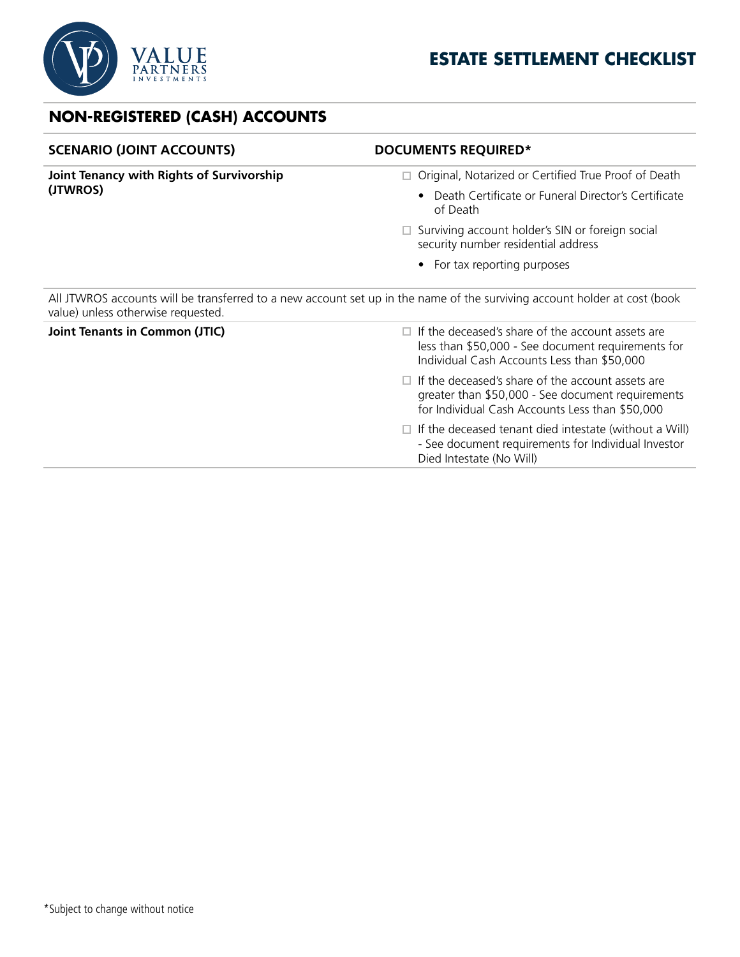

## **NON-REGISTERED (CASH) ACCOUNTS**

| <b>DOCUMENTS REQUIRED*</b>                                                                                                                                       |
|------------------------------------------------------------------------------------------------------------------------------------------------------------------|
| Original, Notarized or Certified True Proof of Death                                                                                                             |
| Death Certificate or Funeral Director's Certificate<br>of Death                                                                                                  |
| $\Box$ Surviving account holder's SIN or foreign social<br>security number residential address                                                                   |
| • For tax reporting purposes                                                                                                                                     |
| All JTWROS accounts will be transferred to a new account set up in the name of the surviving account holder at cost (book                                        |
| If the deceased's share of the account assets are<br>less than \$50,000 - See document requirements for<br>Individual Cash Accounts Less than \$50,000           |
| $\Box$ If the deceased's share of the account assets are<br>greater than \$50,000 - See document requirements<br>for Individual Cash Accounts Less than \$50,000 |
| $\Box$ If the deceased tenant died intestate (without a Will)<br>- See document requirements for Individual Investor<br>Died Intestate (No Will)                 |
|                                                                                                                                                                  |